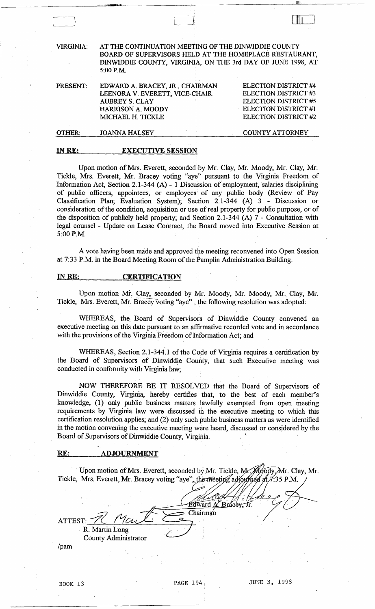| <b>VIRGINIA:</b> | AT THE CONTINUATION MEETING OF THE DINWIDDIE COUNTY<br>BOARD OF SUPERVISORS HELD AT THE HOMEPLACE RESTAURANT,<br>DINWIDDIE COUNTY, VIRGINIA, ON THE 3rd DAY OF JUNE 1998, AT<br>$5:00$ P.M. |                                                                                                                             |
|------------------|---------------------------------------------------------------------------------------------------------------------------------------------------------------------------------------------|-----------------------------------------------------------------------------------------------------------------------------|
| PRESENT:         | EDWARD A. BRACEY, JR., CHAIRMAN<br>LEENORA V. EVERETT, VICE-CHAIR<br><b>AUBREY S. CLAY</b><br><b>HARRISON A. MOODY</b><br>MICHAEL H. TICKLE                                                 | <b>ELECTION DISTRICT #4</b><br>ELECTION DISTRICT #3<br>ELECTION DISTRICT #5<br>ELECTION DISTRICT #1<br>ELECTION DISTRICT #2 |
| OTHER:           | <b>JOANNA HALSEY</b>                                                                                                                                                                        | <b>COUNTY ATTORNEY</b>                                                                                                      |
| IN RE:           | <b>EXECUTIVE SESSION</b>                                                                                                                                                                    |                                                                                                                             |

IIlIiJ ! ",w,o'\_"I1L

للللبا

Upon motion of Mrs. Everett, seconded by Mr. Clay, Mr. Moody, Mr. Clay, Mr. Tickle, Mrs. Everett, Mr. Bracey voting "aye" pursuant to the Virginia Freedom of Information Act, Section 2.1-344 (A) - 1 Discussion or' employment, salaries disciplining of public officers, appointees, or employees' of any public body (Review of Pay Classification Plan; Evaluation System); Section 2.1-344 (A) 3 - Discussion or consideration of the condition, acquisition or use of real property for public purpose, or of the disposition of publicly held property; and Section 2.1-344 (A) 7 - Consultation with legal counsel - Update on Lease Contract, the Board moved into Executive Session at 5:00P.M.

A vote having been made and approved the meeting reconvened into Open Session at 7:33 P.M. in the Board Meeting Room of the Pamplin Administration Building.

#### INRE: CERTIFICATION

Upon motion Mr. Clay, seconded by Mr. Moody, Mr. Moody, Mr. Clay, Mr. Tickle, Mrs. Everett, Mr. Bracey voting "aye", the following resolution was adopted:

WHEREAS, the Board of Supervisors of Dinwiddie County convened an executive meeting on this date pursuant to an affirmative recorded vote and in accordance with the provisions of the Virginia Freedom of Information Act; and

WHEREAS, Section 2.1-344.1 of the Code of Virginia requires a certification by the Board of Supervisors of Dinwiddie County, that such Executive meeting was conducted in conformity with Virginia law;

NOW THEREFORE BE IT RESOLVED that the Board of Supervisors of Dinwiddie County, Virginia, hereby certifies that, to the best of each member's knowledge, (1) only public business matters lawfully exempted from open meeting requirements by Virginia law were discussed in the executive meeting to which this certification resolution applies; and (2) only such public business matters as were identified in the motion convening the executive meeting were heard, discussed or considered by the Board of Supervisors of Dinwiddie County, Virginia. .

#### RE: ADJOURNMENT

Upon motion of Mrs. Everett, seconded by Mr. Tickle, Tickle, Mrs. Everett, Mr. Bracey voting "aye", the met

Edward A. Bracey, Jr. ATTEST:  $\frac{N}{n}$  Martin Long County Administrator /pam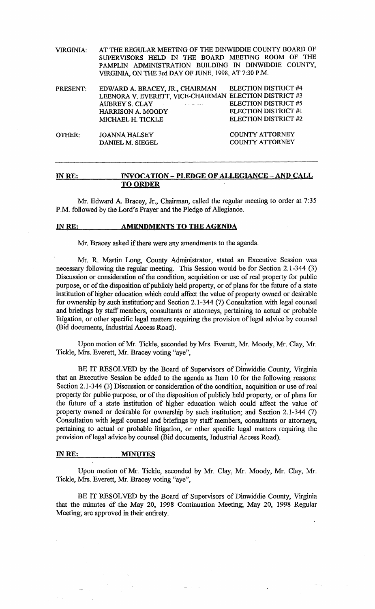| VIRGINIA: . | AT THE REGULAR MEETING OF THE DINWIDDIE COUNTY BOARD OF |  |  |  |  |  |
|-------------|---------------------------------------------------------|--|--|--|--|--|
|             | SUPERVISORS HELD IN THE BOARD MEETING ROOM OF THE       |  |  |  |  |  |
|             | PAMPLIN ADMINISTRATION BUILDING IN DINWIDDIE COUNTY.    |  |  |  |  |  |
|             | VIRGINIA, ON THE 3rd DAY OF JUNE, 1998, AT 7:30 P.M.    |  |  |  |  |  |

| PRESENT:      | EDWARD A. BRACEY, JR., CHAIRMAN<br>LEENORA V. EVERETT, VICE-CHAIRMAN ELECTION DISTRICT #3<br><b>AUBREY S. CLAY</b><br>أناد وليعود المتهولات الداريات<br><b>HARRISON A. MOODY</b><br>MICHAEL H. TICKLE | ELECTION DISTRICT #4<br><b>ELECTION DISTRICT #5</b><br>ELECTION DISTRICT #1<br><b>ELECTION DISTRICT #2</b> |
|---------------|-------------------------------------------------------------------------------------------------------------------------------------------------------------------------------------------------------|------------------------------------------------------------------------------------------------------------|
| <b>OTHER:</b> | <b>JOANNA HALSEY</b><br>DANIEL M. SIEGEL                                                                                                                                                              | <b>COUNTY ATTORNEY</b><br><b>COUNTY ATTORNEY</b>                                                           |

#### IN RE: INVOCATION - PLEDGE OF ALLEGIANCE - AND CALL TO ORDER

Mr. Edward A. Bracey, Jr., Chairman, called the regular meeting to order at 7:35 P.M. followed by the Lord's Prayer and the Pledge of Allegiance.

#### IN RE: AMENDMENTS TO THE AGENDA

Mr. Bracey asked if there were any amendments to the agenda.

Mr. R. Martin Long, County Administrator, stated an Executive Session was necessary following the regular meeting. This Session would be for Section 2.1-344 (3) Discussion or consideration of the condition, acquisition or use of real property for public purpose, or of the disposition of publicly held property, or of plans for the future of a state institution of higher education which could affect the value of property owned or desirable for ownership by such institution; and Section 2.1-344 (7) Consultation with legal counsel and briefings by staff members, consultants or attorneys, pertaining to actual or probable litigation, or other specific legal matters requiring the provision of legal advice by counsel (Bid documents, Industrial Access Road).

Upon motion of Mr. Tickle, seconded by Mrs. Everett, Mr. Moody, Mr. Clay, Mr. Tickle, Mrs. Everett, Mr. Bracey voting "aye",

BE IT RESOLVED by the Board of Supervisors of Dinwiddie County, Virginia that an Executive Session be added to the agenda as Item 10 for the following reasons: Section 2.1-344 (3) Discussion or consideration of the condition, acquisition or use of real property for public purpose, or of the disposition of publicly held property, or of plans for the future of a state institution of higher education which could affect the value of property owned or desirable for ownership by such institution; and Section 2.1-344 (7) Consultation with legal counsel and briefings by staff members, consultants or attorneys, pertaining to actual or probable litigation, or other specific legal matters requiring the provision of legal advice by counsel (Bid documents, Industrial Access Road).

#### INRE: MINUTES

Upon motion of Mr. Tickle, seconded by Mr. Clay, Mr. Moody, Mr. Clay, Mr. Tickle, Mrs. Everett, Mr. Bracey voting "aye",

BE IT RESOLVED by the Board of Supervisors of Dinwiddie County, Virginia that the minutes of the May 20, 1998 Continuation Meeting; May 20, 1998 Regular Meeting; are approved in their entirety.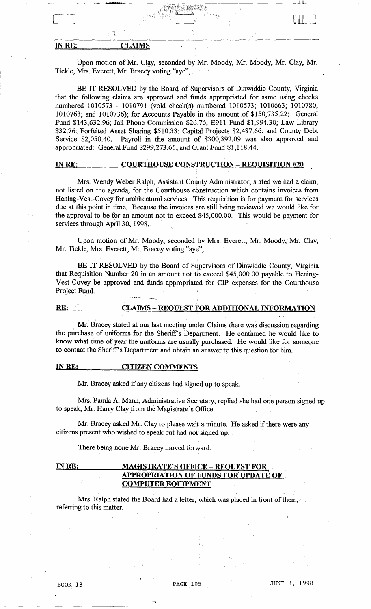# IN RE: CLAIMS

n).

Upon motion of Mr. Clay, seconded by Mr. Moody, Mr. Moody, Mr. Clay, Mr. Tickle, Mrs. Everett, Mr. Bracey voting "aye",

IIIIIII IIII Ililil 2000. aastas 1900. aastas 1900. aastas 1900. aastas 1900. aastas 1900. aastas 1900. aastas

لللللبنا

BE IT RESOLVED by the Board of Supervisors of Dinwiddie County, Virginia that the following claims are approved and funds appropriated for same using checks numbered 1010573 - 1010791 (void check(s) numbered 1010573; 1010663; 1010780; 1010763; and 1010736); for Accounts Payable in the amount of \$150,735.22: General Fund \$143,632.96; Jail Phone Commission \$26.76; E911 Fund \$1,994.30; Law Library \$32.76; Forfeited Asset Sharing \$510.38; Capital Projects. \$2,487.66; and County Debt Service \$2,050.40. Payroll in the amount of \$300,392.09 was also approved and appropriated: General Fund \$299,273.65; and Grant Fund \$1,118.44.

#### IN RE: COURTHOUSE CONSTRUCTION - REQUISITION #20

Mrs. Wendy Weber Ralph, Assistant County Administrator, stated we had a claim, not listed on the agenda, for the Courthouse construction which contains invoices from Hening-Vest-Covey for architectural services. This requisition is for payment for services due at this point in time. Because the invoices are' still being reviewed we would like for the approval to be for an amount not to exceed \$45,000.00. This would be payment for . services through April 30, 1998.

Upon motion of Mr. Moody, seconded by Mrs. Everett, Mr. Moody, Mr. Clay, Mr. Tickle, Mrs. Everett, Mr. Bracey voting "aye",

BE IT RESOLVED by the Board of Supervisors of Dinwiddie County, Virginia that Requisition Number 20 in an amount not to exceed \$45,000.00 payable to Hening-Vest-Covey be approved and funds appropriated for CIP expenses for the Courthouse Project Fund.

# RE: CLAIMS - REQUEST FOR ADDITIONAL INFORMATION

Mr. Bracey stated at our last meeting under Claims there was discussion regarding the purchase of uniforms for the Sheriff's Department. He continued he would like to know what time of year the uniforms are usually purchased. He would like for someone to contact the Sheriff's Department and obtain an answer to this question for him.

#### INRE: CITIZEN COMMENTS

Mr. Bracey asked if any citizens had signed up to speak.

Mrs. Pamla A. Mann, Administrative Secretary, replied she had one person signed up to speak, Mr. Harry Clay from the Magistrate's Office.

Mr. Bracey asked Mr. Clay to please wait a minute. He asked if there were any citizens present who wished to speak but had not signed up.

There being none Mr. Bracey moved forward.

# IN RE: MAGISTRATE'S OFFICE - REQUEST FOR APPROPRIATION OF FUNDS FOR UPDATE OF , COMPUTER EQUIPMENT

Mrs. Ralph stated the Board had a letter, which was placed in front of them,. referring to this matter.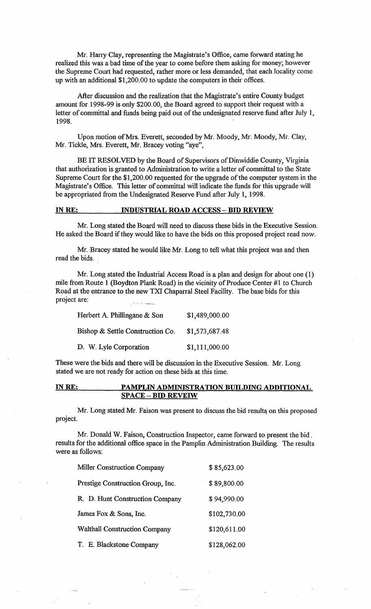Mr. Harry Clay, representing the Magistrate's Office, came forward stating he realized this was a bad time of the year to come before them asking for money; however the Supreme Court had requested, rather more or less demanded, that each locality come up with an additional \$1,200.00 to update the computers in their offices.

After discussion and the realization that the Magistrate's entire County budget amount for 1998-99 is only \$200.00, the Board agreed to support their request with a letter of committal and funds being paid out of the undesignated reserve fund after July 1, 1998.

Upon motion of Mrs. Everett, seconded by Mr. Moody, Mr. Moody, Mr. Clay, Mr. Tickle, Mrs. Everett, Mr. Bracey voting "aye",

BE IT RESOLVED by the Board of Supervisors of Dinwiddie County, Virginia that authorization is granted to Administration to write a letter of committal to the State Supreme Court for the \$1,200.00 requested for the upgrade of the computer system in the Magistrate's Office. This letter of committal will indicate the funds for this upgrade will be appropriated from the Undesignated Reserve Fund after July 1, 1998.

#### INRE: INDUSTRIAL ROAD ACCESS - BID REVIEW

Mr. Long stated the Board will need to discuss these bids in the Executive Session. He asked the Board if they would like to have the bids on this proposed project read now.

Mr. Bracey stated he would like Mr. Long to tell what this project was and then read the bids.

Mr. Long stated the Industrial Access Road is a plan and design for about one (1) mile from Route 1 (Boydton Plank Road) in the vicinity of Produce Center #1 to Church Road at the entrance to the new TXI Chaparral Steel Facility. The base bids for this project are:

| Herbert A. Phillingane & Son     | \$1,489,000.00 |
|----------------------------------|----------------|
| Bishop & Settle Construction Co. | \$1,573,687.48 |
| D. W. Lyle Corporation           | \$1,111,000.00 |

These were the bids and there will be discussion in the Executive Session. Mr. Long stated we are not ready for action on these bids at this time.

# INRE: PAMPLIN ADMINISTRATION BUILDING ADDITIONAL SPACE - BID REVEIW

Mr. Long stated Mr. Faison was present to discuss the bid results on this proposed project.

Mr. Donald W. Faison, Construction Inspector, came forward to present the bid. results for the additional office space in the Pamplin Administration Building. The results were as follows:

| <b>Miller Construction Company</b>   | \$85,623.00  |
|--------------------------------------|--------------|
| Prestige Construction Group, Inc.    | \$89,800.00  |
| R. D. Hunt Construction Company      | \$94,990.00  |
| James Fox & Sons, Inc.               | \$102,730.00 |
| <b>Walthall Construction Company</b> | \$120,611.00 |
| T. E. Blackstone Company             | \$128,062.00 |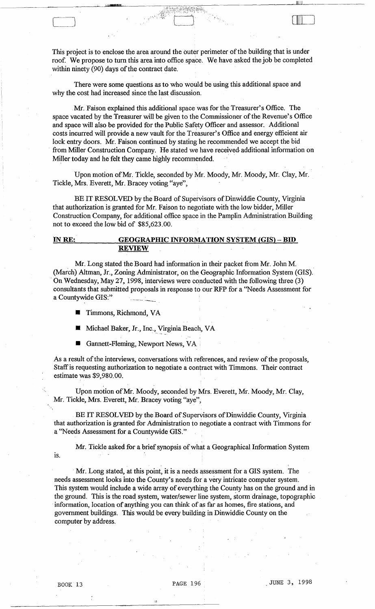This project is to enclose the area around the outer perimeter of the building that is under roof. We propose to tum this area into office space. We have asked the job be completed within ninety (90) days of the contract date.

.• l'. :{~>:·.~;}~;~~;:~.;~~·~~~~~\~~h~i:;'~· ~.;i·'~~~~\~ ,

, which is a set of  $\mathbb{R}^n$  , we can consider the  $\mathbb{R}^n$ 

[: 11111]

)

There were some questions as to who would be using this additional space and why the cost had increased since the last discussion.

Mr. Faison explained this additional space was for the Treasurer's Office. The space vacated by the Treasurer will be given to the Commissioner of the Revenue's Office and space will also be provided for the Public Safety Officer and assessor. Additional costs incurred will provide a new vault for the Treasurer's Office and energy efficient air lock entry doors. Mr. Faison continued by stating he recommended we accept the bid from Miller Construction Company. He stated we have received, additional information on Miller today and he felt they came highly recommended.

Upon motion of Mr. Tickle, seconded by Mr. Moody, Mr. Moody, Mr. Clay, Mr. Tickle, Mrs. Everett, Mr. Bracey voting "aye",

BE IT RESOLVED by the Board of Supervisors of Dinwiddie County, Virginia that authorization is granted for Mr. Faison to negotiate with the low bidder, Miller Construction Company, for additional office space in the Pamplin Administration Building not to exceed the low bid of \$85,623.00.

# INRE: GEOGRAPHIC INFORMATION SYSTEM (GIS) - BID REVIEW

Mr. Long stated the Board had information in their packet from Mr. John M. (March) Altman, Jr., Zoning Administrator, on the Geographic Information System (GIS) . On Wednesday, May 27, 1998, interviews were conducted with the following three (3) consultants that submitted proposals in response to our RFP for a "Needs Assessment for a Countywide GIS:"

- **Timmons, Richmond, VA**
- Michael Baker, Jr., Inc., Virginia Beach, VA
- Gannett-Fleming, Newport News, VA

As a result of the interviews, conversations with references, and review of the proposals, Staff is requesting authorization to negotiate a contract with Timmons. Their contract estimate was \$9,980.00.

Upon motion of Mr. Moody, seconded by Mrs. Everett, Mr. Moody, Mr. Clay, Mr. Tickle, Mrs. Everett, Mr. Bracey voting "aye",

BE IT RESOLVED by the Board of Supervisors of Dinwiddie County, Virginia that authorization is granted for Administration to negotiate a contract with Timmons for a ''Needs Assessment for a Countywide GIS."

Mr. Tickle asked for a brief synopsis of what a Geographical Information System

. Mr. Long stated, at this point, it is a needs assessment for a GIS system. The needs assessment looks into the County's needs for a very intricate computer system. This system would include a wide array of everything the County has on the ground and in the ground. This is the road system, water/sewer line system, storm drainage, topographic . information, location of anything you can think of as far as homes, fire stations, and government buildings. This would be every building in Dinwiddie County on the computer by address.

is.

 $\mathfrak{h}$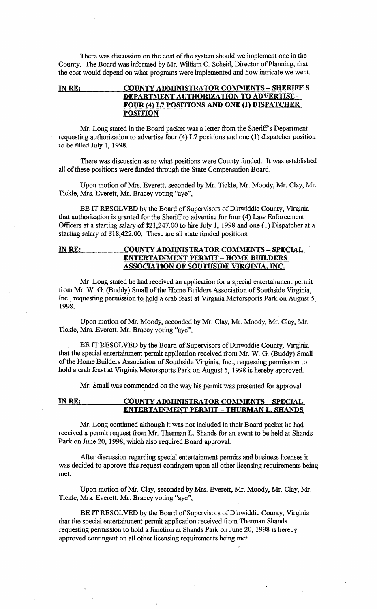There was discussion on the cost of the system should we implement one in the County. The Board was informed by Mr. William C. Scheid, Director of Planning, that the cost would depend on what programs were implemented and how intricate we went.

# INRE: COUNTY ADMINISTRATOR COMMENTS - SHERIFF'S DEPARTMENT AUTHORIZATION TO ADVERTISE - FOUR (4) L7 POSITIONS AND ONE (1) DISPATCHER **POSITION**

Mr. Long stated in the Board packet was a letter from the Sheriff's Department requesting authorization to advertise four (4) L7 positions and one (1) dispatcher position to be filled July 1, 1998.

There was discussion as to what positions were County funded. It was established all of these positions were funded through the State Compensation Board.

Upon motion of Mrs. Everett, seconded by Mr. Tickle, Mr. Moody, Mr. Clay, Mr. Tickle, Mrs. Everett, Mr. Bracey voting "aye",

BE IT RESOLVED by the Board of Supervisors of Dinwiddie County, Virginia that authorization is granted for the Sheriff to advertise for four (4) Law Enforcement Officers at a starting salary of \$21,247.00 to hire July 1, 1998 and one (1) Dispatcher at a starting salary of \$18,422.00. These are all state funded positions.

# INRE: COUNTY ADMINISTRATOR COMMENTS - SPECIAL ENTERTAINMENT PERMIT - HOME BUILDERS ASSOCIA TION OF SOUTHSIDE VIRGINIA, INC.

Mr. Long stated he had received an application for a special entertainment permit from Mr. W. G. (Buddy) Small of the Home Builders Association of Southside Virginia, Inc., requesting permission to hold a crab feast at Virginia Motorsports Park on August 5, 1998.

Upon motion of Mr. Moody, seconded by Mr. Clay, Mr. Moody, Mr. Clay, Mr. Tickle, Mrs. Everett, Mr. Bracey voting "aye",

. BE IT RESOLVED by the Board of Supervisors of Dinwiddie County, Virginia that the special entertainment permit application received from Mr. W. G. (Buddy) Small of the Home Builders Association of Southside Virginia, Inc., requesting permission to hold a crab feast at Virginia Motorsports Park on August 5, 1998 is hereby approved.

Mr. Small was commended on the way his permit was presented for approval.

# INRE: COUNTY ADMINISTRATOR COMMENTS - SPECIAL ENTERTAINMENT PERMIT - THURMAN L. SHANDS

Mr. Long continued although it was not included in their Board packet he had received a permit request from Mr. Therman L. Shands for an event to be held at Shands Park on June 20, 1998, which also required Board approval.

After discussion regarding special entertainment permits and business licenses it was decided to approve this request contingent upon all other licensing requirements being met.

Upon motion of Mr. Clay, seconded by Mrs. Everett, Mr. Moody, Mr. Clay, Mr. Tickle, Mrs. Everett, Mr. Bracey voting "aye",

BE IT RESOLVED by the Board of Supervisors of Dinwiddie County, Virginia that the special entertainment permit application received from Therman Shands requesting permission to hold a function at Shands Park on June 20, 1998 is hereby approved contingent on all other licensing requirements being met.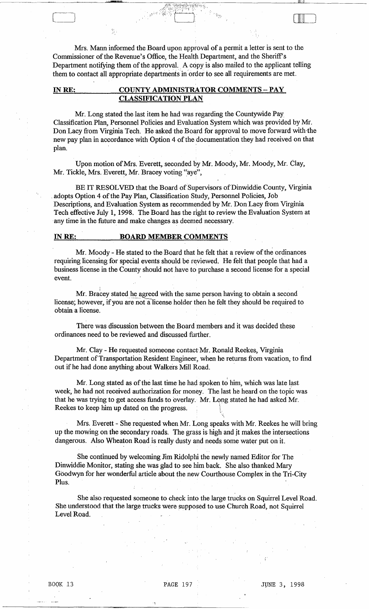Mrs. Mann informed the Board upon approval of a permit a letter is sent to the Commissioner of the Revenue's Office, the Health Department, and the Sheriff's Department notifying them of the approval. A copy is also mailed to the applicant telling them to contact all appropriate departments in order to see all requirements are met.

لللللماء

# **INRE: COUNTY ADMINISTRATOR COMMENTS - PAY CLASSIFICATION PLAN**

Mr. Long stated the last item he had was regarding the Countywide Pay Classification Plan, Personnel Policies and Evaluation System which was provided by Mr. Don Lacy from Virginia Tech. He asked the Board for approval to move forward with the new pay plan in accordance with Option 4 of the documentation they had received on that  $~\mathbf{plan}$ ,  $~$ 

Upon motion of Mrs. Everett, seconded by Mr. Moody, Mr. Moody, Mr. Clay, Mr. Tickle, Mrs. Everett, Mr. Bracey voting "aye",

BE IT RESOLVED that the Board of Supervisors of Dinwiddie County, Virginia adopts Option 4 of the Pay Plan, Classification Study, Personnel Policies, Job Descriptions, and Evaluation System as recommended by Mr. Don Lacy from Virginia Tech effective July 1, 1998. The Board has the right to review the Evaluation System at any time in the future and make changes as deemed necessary.

#### **INRE: BOARD MEMBER COMMENTS**

,

Mr. Moody - He stated to the Board that he felt that a review of the ordinances requiring licensing for special events should be reviewed. He felt that people that had a business license in the County should not have to purchase a second license for a special event.

Mr. Bracey stated he agreed with the same person having to obtain a second license; however, if you are not a license holder then he felt they should be required to obtain a license.

There was discussion between the Board members and it was decided these ordinances need to be reviewed and discussed further.

Mr. Clay - He requested someone contact Mr. Ronald Reekes, Virginia Department of Transportation Resident Engineer, when he returns from vacation, to find out if he had done anything about Walkers Mill Road. .

Mr. Long stated as of the last time he had spoken to him, which was late last week, he had not received authorization for money. The last he heard on the topic was that he was trying to get access funds to overlay. Mr. Long stated he had asked Mr. Reekes to keep him up dated on the progress.

Mrs. Everett - She requested when Mr. Long speaks with Mr. Reekes he will bring up the mowing on the secondary roads. The grass is high and jt makes the intersections dangerous. Also Wheaton Road is really dusty and needs some water put on it.

...

She continued by welcoming Jim Ridolphi the newly named Editor for The Dinwiddie Monitor, stating she was glad to see him back. She also thanked Mary Goodwyn for her wonderful article about the new Courthouse Complex in the Tri-City Plus.

She also requested someone to check into the large trucks on Squirrel Level Road. She understood that the large trucks were supposed to use Church Road, not Squirrel Level Road.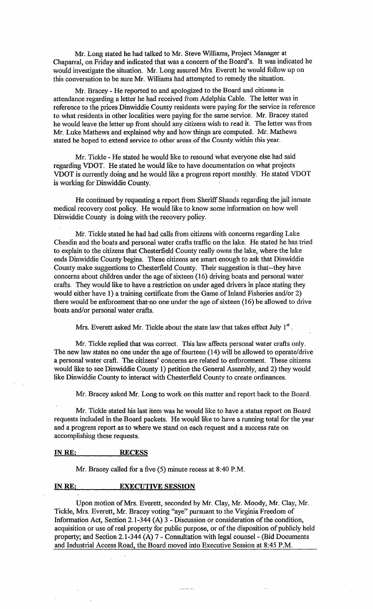Mr. Long stated he had talked to Mr. Steve Williams, Project Manager at Chaparral, on Friday and indicated that was a concern of the Board's. It was indicated he would investigate the situation. Mr. Long assured Mrs. Everett he would follow up on this conversation to be sure Mr. Williams had attempted to remedy the situation.

Mr. Bracey - He reported to and apologized to the Board and citizens in attendance regarding a letter he had received from Adelphia Cable. The letter was in reference to the prices Dinwiddie County residents were paying for the service in reference to what residents in other localities were paying for the same service. Mr. Bracey stated he would leave the letter up front should any citizens wish to read it. The letter was from Mr. Luke Mathews and explained why and how things are computed. Mr. Mathews stated he hoped to extend service to other areas of the County within this year.

Mr. Tickle - He stated he would like to resound what everyone else had said regarding VDOT. He stated he would like to have documentation on what projects VDOT is currently doing and he would like a progress report m0nthly. He stated VDOT is working for Dinwiddie County.

He continued by requesting a report from Sheriff Shands regarding the jail inmate medical recovery cost policy. He would like to know some information on how well Dinwiddie County is doing with the recovery policy.

Mr. Tickle stated he had had calls from citizens with concerns regarding Lake Chesdin and the boats and personal water crafts traffic on the lake. He stated he has tried to explain to the citizens that Chesterfield County really owns the lake, where the lake ends Dinwiddie County begins. These citizens are smart enough to ask that Dinwiddie County make suggestions to Chesterfield County. Their suggestion is that--they have concerns about children under the age of sixteen (16) driving boats and personal water crafts. They would like to have a restriction on under aged drivers in place stating they would either have 1) a training certificate from the Game of Inland Fisheries and/or 2) there would be enforcement that-no one under the age of sixteen (16) be allowed to drive boats and/or personal water crafts.

Mrs. Everett asked Mr. Tickle about the state law that takes effect July  $1<sup>st</sup>$ .

Mr. Tickle replied that was correct. This law affects personal water crafts only. The new law states no one under the age of fourteen (14) will be allowed to operate/drive a personal water craft. The citizens' concerns are related to enforcement. These citizens would like to see Dinwiddie County 1) petition the General Assembly, and 2) they would like Dinwiddie County to interact with Chesterfield County to create ordinances.

Mr. Bracey asked Mr. Long to work on this matter and report back to the Board.

Mr. Tickle stated his last item was he would like to have a status report on Board requests included in the Board packets. He would like to have a running total for the year and a progress report as to where we stand on each request and a success rate on accomplishing these requests.

#### INRE: RECESS

Mr. Bracey called for a five (5) minute recess at 8:40 P.M.

# IN RE: EXECUTIVE SESSION

Upon motion of Mrs. Everett, seconded by Mr. Clay, Mr. Moody, Mr. Clay, Mr. Tickle, Mrs. Everett, Mr. Bracey voting "aye" pursuant to the Virginia Freedom of Information Act, Section 2.1-344 (A)  $3$  - Discussion or consideration of the condition, acquisition or use of real property for public purpose, or of the disposition of publicly held property; and Section 2.1-344 (A) 7 - Consultation with legal counsel - (Bid Documents and Industrial Access Road, the Board moved into Executive Session at 8:45 P.M.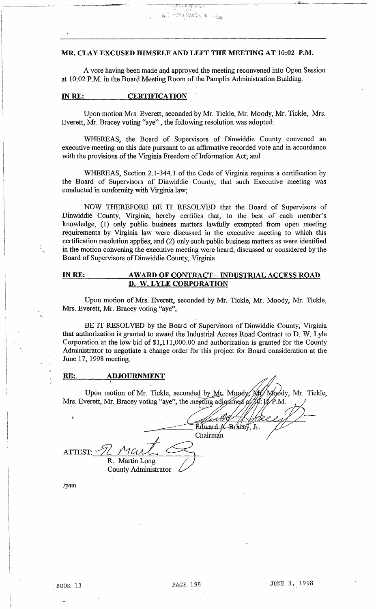# MR. CLAY EXCUSED HIMSELF AND LEFT THE MEETING AT 10:02 P.M.

A vote having been made and approved the meeting reconvened into Open Session at 10:02 P.M. in the Board Meeting Room of the Pamplin Administration Building.

 $\frac{11}{9}$  ) data by

.<br>مارايوم (م

1I1I:J

#### IN RE: CERTIFICATION

Upon motion Mrs. Everett, seconded by Mr. Tickle, Mr. Moody, Mr. Tickle, Mrs. Everett, Mr. Bracey voting "aye" , the following resolution was adopted:

WHEREAS, the Board of Supervisors of Dinwiddie County convened an executive meeting on this date pursuant to an affirmative recorded vote and in accordance with the provisions of the Virginia Freedom of Information Act; and

WHEREAS, Section 2.1-344.1 of the Code of Virginia requires a certification by the Board of Supervisors of Dinwiddie County, that such Executive meeting was conducted in confonnity with Virginia law;

NOW THEREFORE BE IT RESOLVED that the Board of Supervisors of Dinwiddie County, Virginia, hereby certifies that, to the best of each member's knowledge, (1) only public business matters lawfully exempted from open meeting requirements by Virginia law were discussed in the executive meeting to which this certification resolution applies; and (2) only such public business matters as were identified in the motion convening the executive meeting were heard, discussed or considered by the Board of Supervisors of Dinwiddie County, Virginia.

# IN RE: AWARD OF CONTRACT - INDUSTRIAL ACCESS ROAD D. W. LYLE CORPORATION

Upon motion of Mrs. Everett, seconded by Mr. Tickle, Mr. Moody, Mr. Tickle, Mrs. Everett, Mr. Bracey voting "aye",

BE IT RESOLVED by the Board of Supervisors of Dinwiddie County, Virginia that authorization is granted to award the Industrial Access Road Contract to D. W. Lyle Corporation at the low bid of \$1,111,000.00 and authorization is granted for the County Administrator to negotiate a change order for this project for Board consideration at the June 17, 1998 meeting.

#### RE: ADJOURNMENT

R. Martin Long County Administrator

Upon motion of Mr. Tickle, seconded by Mr. Moody, Mr. Moody, Mr. Tickle, Mrs. Everett, Mr. Bracey voting "aye", the meeting adjourned at  $\chi\phi$ :  $\chi\phi$ . M.

ATTEST:  $\negthinspace\negthinspace 2$  Mart  $\varnothing$ 

Edward A. Bracey, Jr.

/pam

 $\ddot{\ddot{\textbf{z}}}$